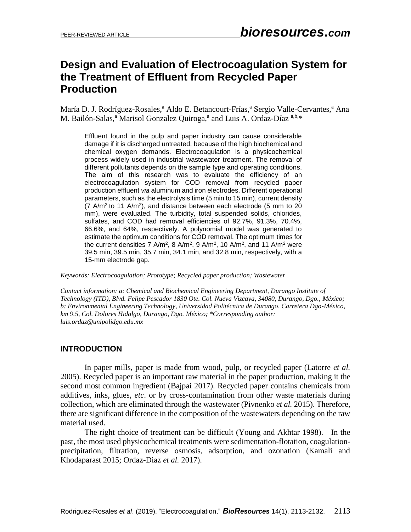## **Design and Evaluation of Electrocoagulation System for the Treatment of Effluent from Recycled Paper Production**

María D. J. Rodríguez-Rosales,<sup>a</sup> Aldo E. Betancourt-Frías,<sup>a</sup> Sergio Valle-Cervantes,<sup>a</sup> Ana M. Bailón-Salas,<sup>a</sup> Marisol Gonzalez Quiroga,<sup>a</sup> and Luis A. Ordaz-Díaz <sup>a,b,\*</sup>

Effluent found in the pulp and paper industry can cause considerable damage if it is discharged untreated, because of the high biochemical and chemical oxygen demands. Electrocoagulation is a physicochemical process widely used in industrial wastewater treatment. The removal of different pollutants depends on the sample type and operating conditions. The aim of this research was to evaluate the efficiency of an electrocoagulation system for COD removal from recycled paper production effluent *via* aluminum and iron electrodes. Different operational parameters, such as the electrolysis time (5 min to 15 min), current density  $(7 \text{ A/m}^2 \text{ to } 11 \text{ A/m}^2)$ , and distance between each electrode (5 mm to 20 mm), were evaluated. The turbidity, total suspended solids, chlorides, sulfates, and COD had removal efficiencies of 92.7%, 91.3%, 70.4%, 66.6%, and 64%, respectively. A polynomial model was generated to estimate the optimum conditions for COD removal. The optimum times for the current densities 7 A/m<sup>2</sup>, 8 A/m<sup>2</sup>, 9 A/m<sup>2</sup>, 10 A/m<sup>2</sup>, and 11 A/m<sup>2</sup> were 39.5 min, 39.5 min, 35.7 min, 34.1 min, and 32.8 min, respectively, with a 15-mm electrode gap.

*Keywords: Electrocoagulation; Prototype; Recycled paper production; Wastewater*

*Contact information: a: Chemical and Biochemical Engineering Department, Durango Institute of Technology (ITD), Blvd. Felipe Pescador 1830 Ote. Col. Nueva Vizcaya, 34080, Durango, Dgo., México; b: Environmental Engineering Technology, Universidad Politécnica de Durango, Carretera Dgo-México, km 9.5, Col. Dolores Hidalgo, Durango, Dgo. México; \*Corresponding author: luis.ordaz@unipolidgo.edu.mx*

## **INTRODUCTION**

In paper mills, paper is made from wood, pulp, or recycled paper (Latorre *et al.* 2005). Recycled paper is an important raw material in the paper production, making it the second most common ingredient (Bajpai 2017). Recycled paper contains chemicals from additives, inks, glues, *etc*. or by cross-contamination from other waste materials during collection, which are eliminated through the wastewater (Pivnenko *et al.* 2015). Therefore, there are significant difference in the composition of the wastewaters depending on the raw material used.

The right choice of treatment can be difficult (Young and Akhtar 1998). In the past, the most used physicochemical treatments were sedimentation-flotation, coagulationprecipitation, filtration, reverse osmosis, adsorption, and ozonation (Kamali and Khodaparast 2015; Ordaz-Diaz *et al.* 2017).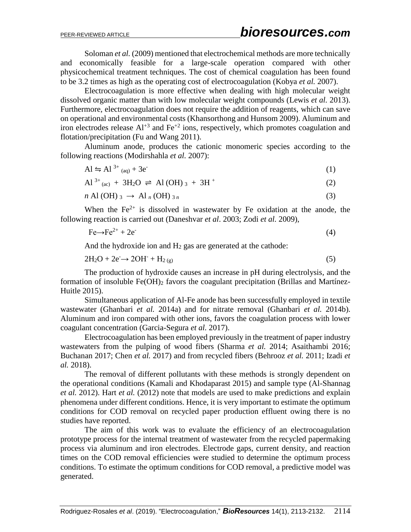Soloman *et al.* (2009) mentioned that electrochemical methods are more technically and economically feasible for a large-scale operation compared with other physicochemical treatment techniques. The cost of chemical coagulation has been found to be 3.2 times as high as the operating cost of electrocoagulation (Kobya *et al.* 2007).

Electrocoagulation is more effective when dealing with high molecular weight dissolved organic matter than with low molecular weight compounds (Lewis *et al.* 2013). Furthermore, electrocoagulation does not require the addition of reagents, which can save on operational and environmental costs (Khansorthong and Hunsom 2009). Aluminum and iron electrodes release  $Al^{+3}$  and  $Fe^{+2}$  ions, respectively, which promotes coagulation and flotation/precipitation (Fu and Wang 2011).

Aluminum anode, produces the cationic monomeric species according to the following reactions (Modirshahla *et al.* 2007):

$$
Al \leftrightharpoons Al^{3+}{}_{(aq)} + 3e^{-} \tag{1}
$$

$$
Al^{3+}{}_{(ac)} + 3H_2O \rightleftharpoons Al(OH)_{3} + 3H^{+}
$$
 (2)

$$
n \text{ Al } (\text{OH})_3 \rightarrow \text{Al}_n \text{ (OH)}_{3n} \tag{3}
$$

When the  $Fe^{2+}$  is dissolved in wastewater by Fe oxidation at the anode, the following reaction is carried out (Daneshvar *et al*. 2003; Zodi *et al.* 2009),

$$
\text{Fe} \rightarrow \text{Fe}^{2+} + 2\text{e}^{\cdot} \tag{4}
$$

And the hydroxide ion and  $H_2$  gas are generated at the cathode:

$$
2H_2O + 2e^- \rightarrow 2OH^- + H_{2(g)}
$$
\n<sup>(5)</sup>

The production of hydroxide causes an increase in pH during electrolysis, and the formation of insoluble  $Fe(OH)_2$  favors the coagulant precipitation (Brillas and Martínez-Huitle 2015).

Simultaneous application of Al-Fe anode has been successfully employed in textile wastewater (Ghanbari *et al.* 2014a) and for nitrate removal (Ghanbari *et al.* 2014b). Aluminum and iron compared with other ions, favors the coagulation process with lower coagulant concentration (Garcia-Segura *et al.* 2017).

Electrocoagulation has been employed previously in the treatment of paper industry wastewaters from the pulping of wood fibers (Sharma *et al.* 2014; Asaithambi 2016; Buchanan 2017; Chen *et al.* 2017) and from recycled fibers (Behrooz *et al.* 2011; Izadi *et al.* 2018).

The removal of different pollutants with these methods is strongly dependent on the operational conditions (Kamali and Khodaparast 2015) and sample type (Al-Shannag *et al.* 2012). Hart *et al.* (2012) note that models are used to make predictions and explain phenomena under different conditions. Hence, it is very important to estimate the optimum conditions for COD removal on recycled paper production effluent owing there is no studies have reported.

The aim of this work was to evaluate the efficiency of an electrocoagulation prototype process for the internal treatment of wastewater from the recycled papermaking process via aluminum and iron electrodes. Electrode gaps, current density, and reaction times on the COD removal efficiencies were studied to determine the optimum process conditions. To estimate the optimum conditions for COD removal, a predictive model was generated.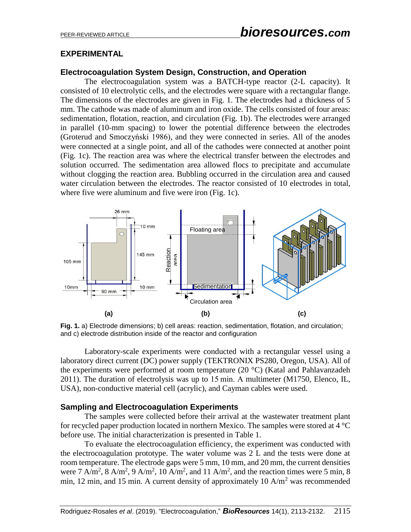### **EXPERIMENTAL**

### **Electrocoagulation System Design, Construction, and Operation**

The electrocoagulation system was a BATCH-type reactor (2-L capacity). It consisted of 10 electrolytic cells, and the electrodes were square with a rectangular flange. The dimensions of the electrodes are given in Fig. 1. The electrodes had a thickness of 5 mm. The cathode was made of aluminum and iron oxide. The cells consisted of four areas: sedimentation, flotation, reaction, and circulation (Fig. 1b). The electrodes were arranged in parallel (10-mm spacing) to lower the potential difference between the electrodes (Groterud and Smoczyński 1986), and they were connected in series. All of the anodes were connected at a single point, and all of the cathodes were connected at another point (Fig. 1c). The reaction area was where the electrical transfer between the electrodes and solution occurred. The sedimentation area allowed flocs to precipitate and accumulate without clogging the reaction area. Bubbling occurred in the circulation area and caused water circulation between the electrodes. The reactor consisted of 10 electrodes in total, where five were aluminum and five were iron (Fig. 1c).



**Fig. 1.** a) Electrode dimensions; b) cell areas: reaction, sedimentation, flotation, and circulation; and c) electrode distribution inside of the reactor and configuration

Laboratory-scale experiments were conducted with a rectangular vessel using a laboratory direct current (DC) power supply (TEKTRONIX PS280, Oregon, USA). All of the experiments were performed at room temperature  $(20 °C)$  (Katal and Pahlavanzadeh) 2011). The duration of electrolysis was up to 15 min. A multimeter (M1750, Elenco, IL, USA), non-conductive material cell (acrylic), and Cayman cables were used.

### **Sampling and Electrocoagulation Experiments**

The samples were collected before their arrival at the wastewater treatment plant for recycled paper production located in northern Mexico. The samples were stored at 4 °C before use. The initial characterization is presented in Table 1.

To evaluate the electrocoagulation efficiency, the experiment was conducted with the electrocoagulation prototype. The water volume was 2 L and the tests were done at room temperature. The electrode gaps were 5 mm, 10 mm, and 20 mm, the current densities were 7 A/m<sup>2</sup>, 8 A/m<sup>2</sup>, 9 A/m<sup>2</sup>, 10 A/m<sup>2</sup>, and 11 A/m<sup>2</sup>, and the reaction times were 5 min, 8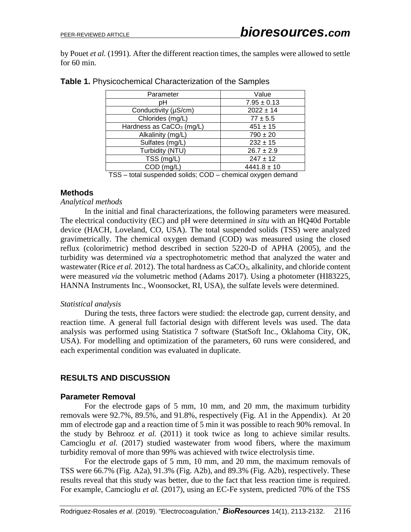by Pouet *et al.* (1991). After the different reaction times, the samples were allowed to settle for 60 min.

| Parameter                                          | Value                                         |  |  |
|----------------------------------------------------|-----------------------------------------------|--|--|
| pН                                                 | $7.95 \pm 0.13$                               |  |  |
| Conductivity (µS/cm)                               | $2022 \pm 14$                                 |  |  |
| Chlorides (mg/L)                                   | $77 \pm 5.5$                                  |  |  |
| Hardness as CaCO <sub>3</sub> (mg/L)               | $451 \pm 15$                                  |  |  |
| Alkalinity (mg/L)                                  | $790 \pm 20$                                  |  |  |
| Sulfates (mg/L)                                    | $232 \pm 15$                                  |  |  |
| Turbidity (NTU)                                    | $26.7 \pm 2.9$                                |  |  |
| TSS (mg/L)                                         | $247 \pm 12$                                  |  |  |
| COD (mg/L)                                         | $4441.8 \pm 10$                               |  |  |
| $\pi$ $\cap$<br>tatal access as deal as Balai. OOD | ورصاحهم والمستحدث والمستنفر والمستحدث والمالي |  |  |

#### **Table 1.** Physicochemical Characterization of the Samples

TSS – total suspended solids; COD – chemical oxygen demand

#### **Methods**

#### *Analytical methods*

In the initial and final characterizations, the following parameters were measured. The electrical conductivity (EC) and pH were determined *in situ* with an HQ40d Portable device (HACH, Loveland, CO, USA). The total suspended solids (TSS) were analyzed gravimetrically. The chemical oxygen demand (COD) was measured using the closed reflux (colorimetric) method described in section 5220-D of APHA (2005), and the turbidity was determined *via* a spectrophotometric method that analyzed the water and wastewater (Rice *et al.* 2012). The total hardness as CaCO<sub>3</sub>, alkalinity, and chloride content were measured *via* the volumetric method (Adams 2017). Using a photometer (HI83225, HANNA Instruments Inc., Woonsocket, RI, USA), the sulfate levels were determined.

#### *Statistical analysis*

During the tests, three factors were studied: the electrode gap, current density, and reaction time. A general full factorial design with different levels was used. The data analysis was performed using Statistica 7 software (StatSoft Inc., Oklahoma City, OK, USA). For modelling and optimization of the parameters, 60 runs were considered, and each experimental condition was evaluated in duplicate.

### **RESULTS AND DISCUSSION**

### **Parameter Removal**

For the electrode gaps of 5 mm, 10 mm, and 20 mm, the maximum turbidity removals were 92.7%, 89.5%, and 91.8%, respectively (Fig. A1 in the Appendix). At 20 mm of electrode gap and a reaction time of 5 min it was possible to reach 90% removal. In the study by Behrooz *et al.* (2011) it took twice as long to achieve similar results. Camcioglu *et al.* (2017) studied wastewater from wood fibers, where the maximum turbidity removal of more than 99% was achieved with twice electrolysis time.

For the electrode gaps of 5 mm, 10 mm, and 20 mm, the maximum removals of TSS were 66.7% (Fig. A2a), 91.3% (Fig. A2b), and 89.3% (Fig. A2b), respectively. These results reveal that this study was better, due to the fact that less reaction time is required. For example, Camcioglu *et al.* (2017), using an EC-Fe system, predicted 70% of the TSS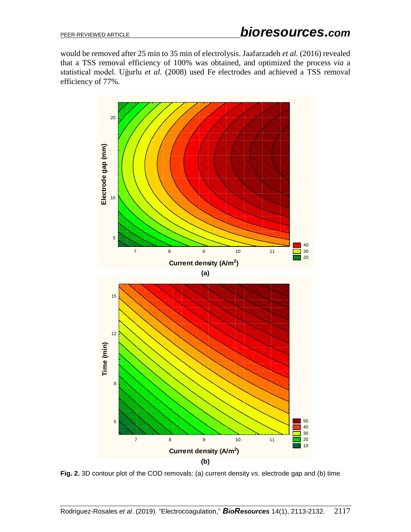would be removed after 25 min to 35 min of electrolysis. Jaafarzadeh *et al.* (2016) revealed that a TSS removal efficiency of 100% was obtained, and optimized the process *via* a statistical model. Uğurlu *et al.* (2008) used Fe electrodes and achieved a TSS removal efficiency of 77%.



**Fig. 2.** 3D contour plot of the COD removals: (a) current density *vs.* electrode gap and (b) time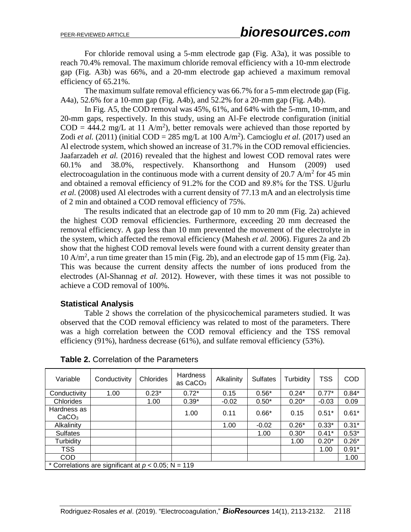For chloride removal using a 5-mm electrode gap (Fig. A3a), it was possible to reach 70.4% removal. The maximum chloride removal efficiency with a 10-mm electrode gap (Fig. A3b) was 66%, and a 20-mm electrode gap achieved a maximum removal efficiency of 65.21%.

The maximum sulfate removal efficiency was 66.7% for a 5-mm electrode gap (Fig. A4a), 52.6% for a 10-mm gap (Fig. A4b), and 52.2% for a 20-mm gap (Fig. A4b).

In Fig. A5, the COD removal was 45%, 61%, and 64% with the 5-mm, 10-mm, and 20-mm gaps, respectively. In this study, using an Al-Fe electrode configuration (initial  $\text{COD} = 444.2 \text{ mg/L}$  at 11 A/m<sup>2</sup>), better removals were achieved than those reported by Zodi *et al.* (2011) (initial COD = 285 mg/L at 100 A/m<sup>2</sup>). Camcioglu *et al.* (2017) used an Al electrode system, which showed an increase of 31.7% in the COD removal efficiencies. Jaafarzadeh *et al.* (2016) revealed that the highest and lowest COD removal rates were 60.1% and 38.0%, respectively. Khansorthong and Hunsom (2009) used electrocoagulation in the continuous mode with a current density of 20.7 A/m<sup>2</sup> for 45 min and obtained a removal efficiency of 91.2% for the COD and 89.8% for the TSS. Uğurlu *et al.* (2008) used Al electrodes with a current density of 77.13 mA and an electrolysis time of 2 min and obtained a COD removal efficiency of 75%.

The results indicated that an electrode gap of 10 mm to 20 mm (Fig. 2a) achieved the highest COD removal efficiencies. Furthermore, exceeding 20 mm decreased the removal efficiency. A gap less than 10 mm prevented the movement of the electrolyte in the system, which affected the removal efficiency (Mahesh *et al.* 2006). Figures 2a and 2b show that the highest COD removal levels were found with a current density greater than 10 A/m<sup>2</sup> , a run time greater than 15 min (Fig. 2b), and an electrode gap of 15 mm (Fig. 2a). This was because the current density affects the number of ions produced from the electrodes (Al-Shannag *et al.* 2012). However, with these times it was not possible to achieve a COD removal of 100%.

### **Statistical Analysis**

Table 2 shows the correlation of the physicochemical parameters studied. It was observed that the COD removal efficiency was related to most of the parameters. There was a high correlation between the COD removal efficiency and the TSS removal efficiency (91%), hardness decrease (61%), and sulfate removal efficiency (53%).

| Variable                                               | Conductivity | Chlorides | <b>Hardness</b><br>as CaCO <sub>3</sub> | Alkalinity | <b>Sulfates</b> | Turbidity | <b>TSS</b> | <b>COD</b> |
|--------------------------------------------------------|--------------|-----------|-----------------------------------------|------------|-----------------|-----------|------------|------------|
| Conductivity                                           | 1.00         | $0.23*$   | $0.72*$                                 | 0.15       | $0.56*$         | $0.24*$   | $0.77*$    | $0.84*$    |
| Chlorides                                              |              | 1.00      | $0.39*$                                 | $-0.02$    | $0.50*$         | $0.20*$   | $-0.03$    | 0.09       |
| Hardness as<br>CaCO <sub>3</sub>                       |              |           | 1.00                                    | 0.11       | $0.66*$         | 0.15      | $0.51*$    | $0.61*$    |
| Alkalinity                                             |              |           |                                         | 1.00       | $-0.02$         | $0.26*$   | $0.33*$    | $0.31*$    |
| <b>Sulfates</b>                                        |              |           |                                         |            | 1.00            | $0.30*$   | $0.41*$    | $0.53*$    |
| Turbidity                                              |              |           |                                         |            |                 | 1.00      | $0.20*$    | $0.26*$    |
| <b>TSS</b>                                             |              |           |                                         |            |                 |           | 1.00       | $0.91*$    |
| COD                                                    |              |           |                                         |            |                 |           |            | 1.00       |
| * Correlations are significant at $p < 0.05$ ; N = 119 |              |           |                                         |            |                 |           |            |            |

**Table 2.** Correlation of the Parameters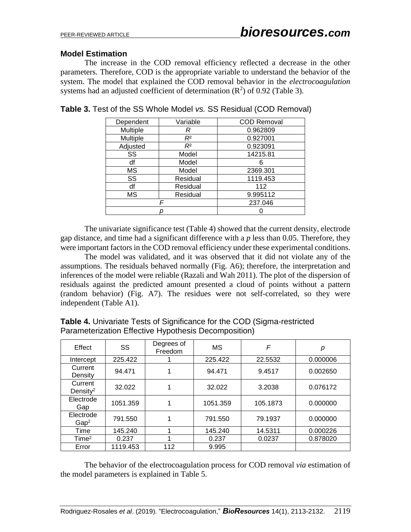### **Model Estimation**

The increase in the COD removal efficiency reflected a decrease in the other parameters. Therefore, COD is the appropriate variable to understand the behavior of the system. The model that explained the COD removal behavior in the *electrocoagulation*  systems had an adjusted coefficient of determination  $(R^2)$  of 0.92 (Table 3).

| Dependent       | Variable | <b>COD Removal</b> |
|-----------------|----------|--------------------|
| Multiple        | R        | 0.962809           |
| <b>Multiple</b> | $R^2$    | 0.927001           |
| Adjusted        | $R^2$    | 0.923091           |
| SS              | Model    | 14215.81           |
| df              | Model    | h                  |
| МS              | Model    | 2369.301           |
| SS              | Residual | 1119.453           |
| df              | Residual | 112                |
| МS              | Residual | 9.995112           |
|                 |          | 237.046            |
|                 |          |                    |

**Table 3.** Test of the SS Whole Model *vs.* SS Residual (COD Removal)

The univariate significance test (Table 4) showed that the current density, electrode gap distance, and time had a significant difference with a *p* less than 0.05. Therefore, they were important factors in the COD removal efficiency under these experimental conditions.

The model was validated, and it was observed that it did not violate any of the assumptions. The residuals behaved normally (Fig. A6); therefore, the interpretation and inferences of the model were reliable (Razali and Wah 2011). The plot of the dispersion of residuals against the predicted amount presented a cloud of points without a pattern (random behavior) (Fig. A7). The residues were not self-correlated, so they were independent (Table A1).

| <b>Examplemental Encourse hypothodic Booompoontony</b> |          |                       |          |          |          |
|--------------------------------------------------------|----------|-----------------------|----------|----------|----------|
| Effect                                                 | SS       | Degrees of<br>Freedom | МS       | F        | р        |
| Intercept                                              | 225.422  |                       | 225.422  | 22.5532  | 0.000006 |
| Current<br>Density                                     | 94.471   |                       | 94.471   | 9.4517   | 0.002650 |
| Current<br>Density <sup>2</sup>                        | 32.022   |                       | 32.022   | 3.2038   | 0.076172 |
| Electrode<br>Gap                                       | 1051.359 |                       | 1051.359 | 105.1873 | 0.000000 |
| Electrode<br>Gap <sup>2</sup>                          | 791.550  |                       | 791.550  | 79.1937  | 0.000000 |
| Time                                                   | 145.240  |                       | 145.240  | 14.5311  | 0.000226 |
| Time <sup>2</sup>                                      | 0.237    |                       | 0.237    | 0.0237   | 0.878020 |
| Error                                                  | 1119.453 | 112                   | 9.995    |          |          |

**Table 4.** Univariate Tests of Significance for the COD (Sigma-restricted Parameterization Effective Hypothesis Decomposition)

The behavior of the electrocoagulation process for COD removal *via* estimation of the model parameters is explained in Table 5.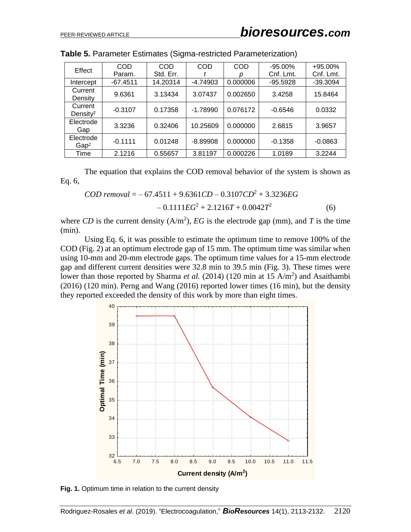| Effect                          | <b>COD</b> | COD       | <b>COD</b> | <b>COD</b> | $-95.00\%$ | +95.00%    |
|---------------------------------|------------|-----------|------------|------------|------------|------------|
|                                 | Param.     | Std. Err. |            |            | Cnf. Lmt.  | Cnf. Lmt.  |
| Intercept                       | $-67.4511$ | 14.20314  | $-4.74903$ | 0.000006   | $-95.5928$ | $-39.3094$ |
| Current<br>Density              | 9.6361     | 3.13434   | 3.07437    | 0.002650   | 3.4258     | 15.8464    |
| Current<br>Density <sup>2</sup> | $-0.3107$  | 0.17358   | $-1.78990$ | 0.076172   | $-0.6546$  | 0.0332     |
| Electrode<br>Gap                | 3.3236     | 0.32406   | 10.25609   | 0.000000   | 2.6815     | 3.9657     |
| Electrode<br>Gap <sup>2</sup>   | $-0.1111$  | 0.01248   | $-8.89908$ | 0.000000   | $-0.1358$  | $-0.0863$  |
| Time                            | 2.1216     | 0.55657   | 3.81197    | 0.000226   | 1.0189     | 3.2244     |

The equation that explains the COD removal behavior of the system is shown as Eq. 6,

$$
COD \, removal = -67.4511 + 9.6361CD - 0.3107CD^{2} + 3.3236EG
$$

$$
-0.1111EG^{2} + 2.1216T + 0.0042T^{2}
$$
(6)

where CD is the current density  $(A/m^2)$ , EG is the electrode gap (mm), and T is the time (min).

Using Eq. 6, it was possible to estimate the optimum time to remove 100% of the COD (Fig. 2) at an optimum electrode gap of 15 mm. The optimum time was similar when using 10-mm and 20-mm electrode gaps. The optimum time values for a 15-mm electrode gap and different current densities were 32.8 min to 39.5 min (Fig. 3). These times were lower than those reported by Sharma *et al.* (2014) (120 min at 15 A/m<sup>2</sup>) and Asaithambi (2016) (120 min). Perng and Wang (2016) reported lower times (16 min), but the density



**Fig. 1.** Optimum time in relation to the current density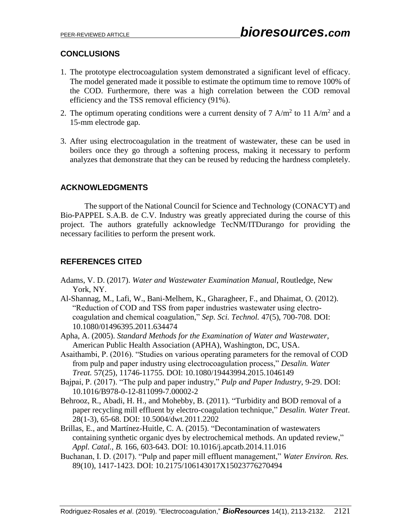## **CONCLUSIONS**

- 1. The prototype electrocoagulation system demonstrated a significant level of efficacy. The model generated made it possible to estimate the optimum time to remove 100% of the COD. Furthermore, there was a high correlation between the COD removal efficiency and the TSS removal efficiency (91%).
- 2. The optimum operating conditions were a current density of 7 A/m<sup>2</sup> to 11 A/m<sup>2</sup> and a 15-mm electrode gap.
- 3. After using electrocoagulation in the treatment of wastewater, these can be used in boilers once they go through a softening process, making it necessary to perform analyzes that demonstrate that they can be reused by reducing the hardness completely.

## **ACKNOWLEDGMENTS**

The support of the National Council for Science and Technology (CONACYT) and Bio-PAPPEL S.A.B. de C.V. Industry was greatly appreciated during the course of this project. The authors gratefully acknowledge TecNM/ITDurango for providing the necessary facilities to perform the present work.

## **REFERENCES CITED**

- Adams, V. D. (2017). *Water and Wastewater Examination Manual*, Routledge, New York, NY.
- Al-Shannag, M., Lafi, W., Bani-Melhem, K., Gharagheer, F., and Dhaimat, O. (2012). "Reduction of COD and TSS from paper industries wastewater using electrocoagulation and chemical coagulation," *Sep. Sci. Technol.* 47(5), 700-708. DOI: 10.1080/01496395.2011.634474
- Apha, A. (2005). *Standard Methods for the Examination of Water and Wastewater,* American Public Health Association (APHA), Washington, DC, USA.
- Asaithambi, P. (2016). "Studies on various operating parameters for the removal of COD from pulp and paper industry using electrocoagulation process," *Desalin. Water Treat.* 57(25), 11746-11755. DOI: 10.1080/19443994.2015.1046149
- Bajpai, P. (2017). "The pulp and paper industry," *Pulp and Paper Industry*, 9-29. DOI: 10.1016/B978-0-12-811099-7.00002-2
- Behrooz, R., Abadi, H. H., and Mohebby, B. (2011). "Turbidity and BOD removal of a paper recycling mill effluent by electro-coagulation technique," *Desalin. Water Treat*. 28(1-3), 65-68. DOI: 10.5004/dwt.2011.2202
- Brillas, E., and Martínez-Huitle, C. A. (2015). "Decontamination of wastewaters containing synthetic organic dyes by electrochemical methods. An updated review," *Appl. Catal., B.* 166, 603-643. DOI: 10.1016/j.apcatb.2014.11.016
- Buchanan, I. D. (2017). "Pulp and paper mill effluent management," *Water Environ. Res.* 89(10), 1417-1423. DOI: 10.2175/106143017X15023776270494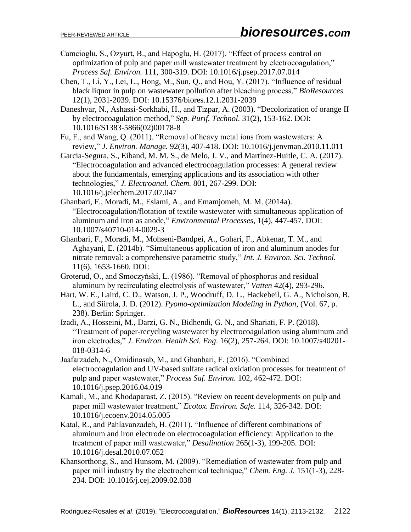- Camcioglu, S., Ozyurt, B., and Hapoglu, H. (2017). "Effect of process control on optimization of pulp and paper mill wastewater treatment by electrocoagulation," *Process Saf. Environ.* 111, 300-319. DOI: 10.1016/j.psep.2017.07.014
- Chen, T., Li, Y., Lei, L., Hong, M., Sun, Q., and Hou, Y. (2017). "Influence of residual black liquor in pulp on wastewater pollution after bleaching process," *BioResources* 12(1), 2031-2039. DOI: 10.15376/biores.12.1.2031-2039
- Daneshvar, N., Ashassi-Sorkhabi, H., and Tizpar, A. (2003). "Decolorization of orange II by electrocoagulation method," *Sep. Purif. Technol.* 31(2), 153-162. DOI: 10.1016/S1383-5866(02)00178-8
- Fu, F., and Wang, Q. (2011). "Removal of heavy metal ions from wastewaters: A review," *J. Environ. Manage.* 92(3), 407-418. DOI: 10.1016/j.jenvman.2010.11.011
- Garcia-Segura, S., Eiband, M. M. S., de Melo, J. V., and Martínez-Huitle, C. A. (2017). "Electrocoagulation and advanced electrocoagulation processes: A general review about the fundamentals, emerging applications and its association with other technologies," *J. Electroanal. Chem.* 801, 267-299. DOI: 10.1016/j.jelechem.2017.07.047
- Ghanbari, F., Moradi, M., Eslami, A., and Emamjomeh, M. M. (2014a). "Electrocoagulation/flotation of textile wastewater with simultaneous application of aluminum and iron as anode," *Environmental Processes*, 1(4), 447-457. DOI: 10.1007/s40710-014-0029-3
- Ghanbari, F., Moradi, M., Mohseni-Bandpei, A., Gohari, F., Abkenar, T. M., and Aghayani, E. (2014b). "Simultaneous application of iron and aluminum anodes for nitrate removal: a comprehensive parametric study," *Int. J. Environ. Sci. Technol.* 11(6), 1653-1660. DOI:
- Groterud, O., and Smoczyński, L. (1986). "Removal of phosphorus and residual aluminum by recirculating electrolysis of wastewater," *Vatten* 42(4), 293-296.
- Hart, W. E., Laird, C. D., Watson, J. P., Woodruff, D. L., Hackebeil, G. A., Nicholson, B. L., and Siirola, J. D. (2012). *Pyomo-optimization Modeling in Python*, (Vol. 67, p. 238). Berlin: Springer.
- Izadi, A., Hosseini, M., Darzi, G. N., Bidhendi, G. N., and Shariati, F. P. (2018). "Treatment of paper-recycling wastewater by electrocoagulation using aluminum and iron electrodes," *J. Environ. Health Sci. Eng*. 16(2), 257-264. DOI: 10.1007/s40201- 018-0314-6
- Jaafarzadeh, N., Omidinasab, M., and Ghanbari, F. (2016). "Combined electrocoagulation and UV-based sulfate radical oxidation processes for treatment of pulp and paper wastewater," *Process Saf. Environ.* 102, 462-472. DOI: 10.1016/j.psep.2016.04.019
- Kamali, M., and Khodaparast, Z. (2015). "Review on recent developments on pulp and paper mill wastewater treatment," *Ecotox. Environ. Safe.* 114, 326-342. DOI: 10.1016/j.ecoenv.2014.05.005
- Katal, R., and Pahlavanzadeh, H. (2011). "Influence of different combinations of aluminum and iron electrode on electrocoagulation efficiency: Application to the treatment of paper mill wastewater," *Desalination* 265(1-3), 199-205. DOI: 10.1016/j.desal.2010.07.052
- Khansorthong, S., and Hunsom, M. (2009). "Remediation of wastewater from pulp and paper mill industry by the electrochemical technique," *Chem. Eng. J.* 151(1-3), 228- 234. DOI: 10.1016/j.cej.2009.02.038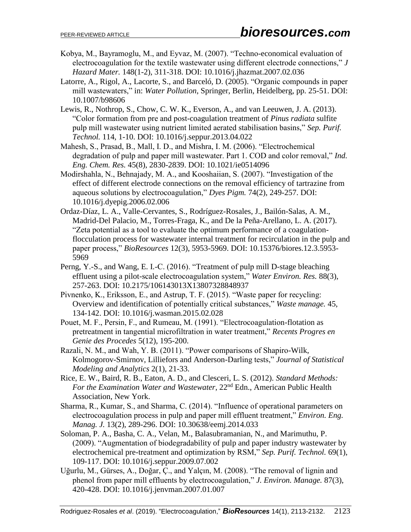- Kobya, M., Bayramoglu, M., and Eyvaz, M. (2007). "Techno-economical evaluation of electrocoagulation for the textile wastewater using different electrode connections," *J Hazard Mater.* 148(1-2), 311-318. DOI: 10.1016/j.jhazmat.2007.02.036
- Latorre, A., Rigol, A., Lacorte, S., and Barceló, D. (2005). "Organic compounds in paper mill wastewaters," in: *Water Pollution*, Springer, Berlin, Heidelberg, pp. 25-51. DOI: 10.1007/b98606
- Lewis, R., Nothrop, S., Chow, C. W. K., Everson, A., and van Leeuwen, J. A. (2013). "Color formation from pre and post-coagulation treatment of *Pinus radiata* sulfite pulp mill wastewater using nutrient limited aerated stabilisation basins," *Sep. Purif. Technol.* 114, 1-10. DOI: 10.1016/j.seppur.2013.04.022
- Mahesh, S., Prasad, B., Mall, I. D., and Mishra, I. M. (2006). "Electrochemical degradation of pulp and paper mill wastewater. Part 1. COD and color removal," *Ind. Eng. Chem. Res.* 45(8), 2830-2839. DOI: 10.1021/ie0514096
- Modirshahla, N., Behnajady, M. A., and Kooshaiian, S. (2007). "Investigation of the effect of different electrode connections on the removal efficiency of tartrazine from aqueous solutions by electrocoagulation," *Dyes Pigm.* 74(2), 249-257. DOI: 10.1016/j.dyepig.2006.02.006
- Ordaz-Díaz, L. A., Valle-Cervantes, S., Rodríguez-Rosales, J., Bailón-Salas, A. M., Madrid-Del Palacio, M., Torres-Fraga, K., and De la Peña-Arellano, L. A. (2017). "Zeta potential as a tool to evaluate the optimum performance of a coagulationflocculation process for wastewater internal treatment for recirculation in the pulp and paper process," *BioResources* 12(3), 5953-5969. DOI: 10.15376/biores.12.3.5953- 5969
- Perng, Y.-S., and Wang, E. I.-C. (2016). "Treatment of pulp mill D-stage bleaching effluent using a pilot-scale electrocoagulation system," *Water Environ. Res.* 88(3), 257-263. DOI: 10.2175/106143013X13807328848937
- Pivnenko, K., Eriksson, E., and Astrup, T. F. (2015). "Waste paper for recycling: Overview and identification of potentially critical substances," *Waste manage.* 45, 134-142. DOI: 10.1016/j.wasman.2015.02.028
- Pouet, M. F., Persin, F., and Rumeau, M. (1991). "Electrocoagulation-flotation as pretreatment in tangential microfiltration in water treatment," *Recents Progres en Genie des Procedes* 5(12), 195-200.
- Razali, N. M., and Wah, Y. B. (2011). "Power comparisons of Shapiro-Wilk, Kolmogorov-Smirnov, Lilliefors and Anderson-Darling tests," *Journal of Statistical Modeling and Analytics* 2(1), 21-33.
- Rice, E. W., Baird, R. B., Eaton, A. D., and Clesceri, L. S. (2012). *Standard Methods: For the Examination Water and Wastewater*, 22nd Edn., American Public Health Association, New York.
- Sharma, R., Kumar, S., and Sharma, C. (2014). "Influence of operational parameters on electrocoagulation process in pulp and paper mill effluent treatment," *Environ. Eng. Manag. J.* 13(2), 289-296. DOI: 10.30638/eemj.2014.033
- Soloman, P. A., Basha, C. A., Velan, M., Balasubramanian, N., and Marimuthu, P. (2009). "Augmentation of biodegradability of pulp and paper industry wastewater by electrochemical pre-treatment and optimization by RSM," *Sep. Purif. Technol.* 69(1), 109-117. DOI: 10.1016/j.seppur.2009.07.002
- Uğurlu, M., Gürses, A., Doğar, Ç., and Yalçın, M. (2008). "The removal of lignin and phenol from paper mill effluents by electrocoagulation," *J. Environ. Manage.* 87(3), 420-428. DOI: 10.1016/j.jenvman.2007.01.007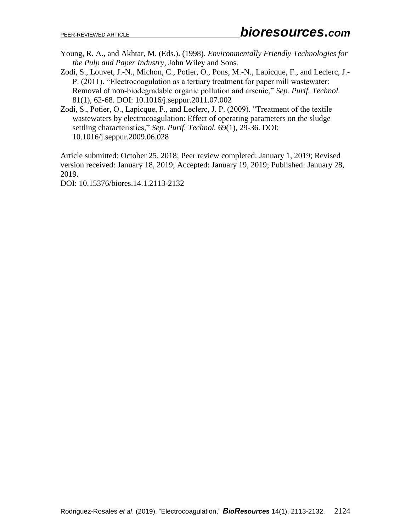- Young, R. A., and Akhtar, M. (Eds.). (1998). *Environmentally Friendly Technologies for the Pulp and Paper Industry*, John Wiley and Sons.
- Zodi, S., Louvet, J.-N., Michon, C., Potier, O., Pons, M.-N., Lapicque, F., and Leclerc, J.- P. (2011). "Electrocoagulation as a tertiary treatment for paper mill wastewater: Removal of non-biodegradable organic pollution and arsenic," *Sep. Purif. Technol.* 81(1), 62-68. DOI: 10.1016/j.seppur.2011.07.002
- Zodi, S., Potier, O., Lapicque, F., and Leclerc, J. P. (2009). "Treatment of the textile wastewaters by electrocoagulation: Effect of operating parameters on the sludge settling characteristics," *Sep. Purif. Technol.* 69(1), 29-36. DOI: 10.1016/j.seppur.2009.06.028

Article submitted: October 25, 2018; Peer review completed: January 1, 2019; Revised version received: January 18, 2019; Accepted: January 19, 2019; Published: January 28, 2019.

DOI: 10.15376/biores.14.1.2113-2132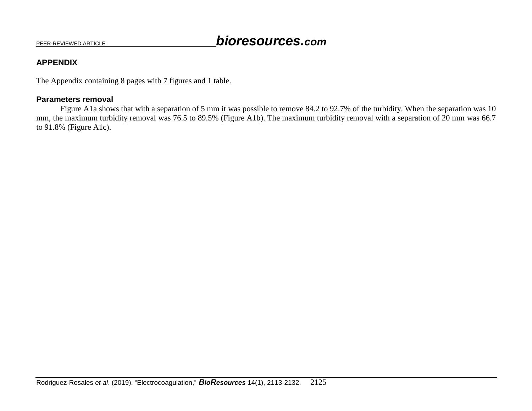### **APPENDIX**

The Appendix containing 8 pages with 7 figures and 1 table.

### **Parameters removal**

Figure A1a shows that with a separation of 5 mm it was possible to remove 84.2 to 92.7% of the turbidity. When the separation was 10 mm, the maximum turbidity removal was 76.5 to 89.5% (Figure A1b). The maximum turbidity removal with a separation of 20 mm was 66.7 to 91.8% (Figure A1c).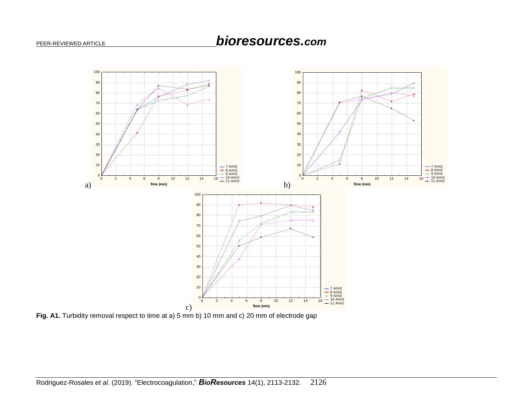

**Fig. A1.** Turbidity removal respect to time at a) 5 mm b) 10 mm and c) 20 mm of electrode gap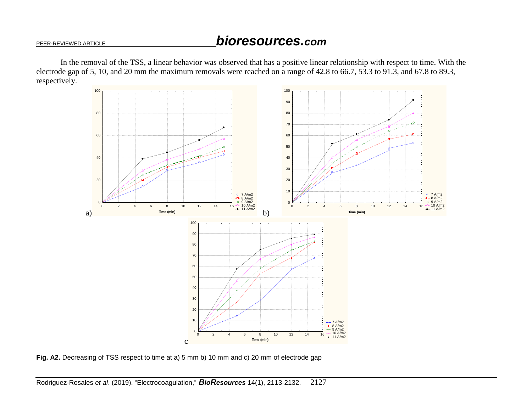In the removal of the TSS, a linear behavior was observed that has a positive linear relationship with respect to time. With the electrode gap of 5, 10, and 20 mm the maximum removals were reached on a range of 42.8 to 66.7, 53.3 to 91.3, and 67.8 to 89.3, respectively.



**Fig. A2.** Decreasing of TSS respect to time at a) 5 mm b) 10 mm and c) 20 mm of electrode gap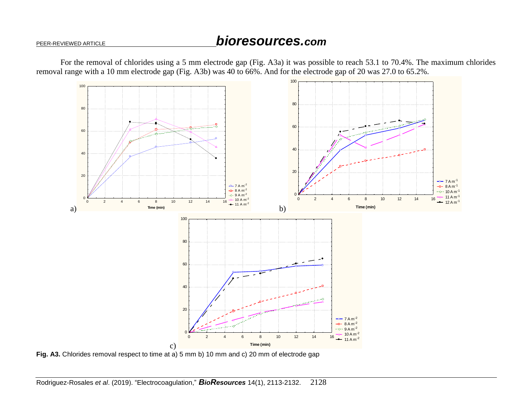For the removal of chlorides using a 5 mm electrode gap (Fig. A3a) it was possible to reach 53.1 to 70.4%. The maximum chlorides removal range with a 10 mm electrode gap (Fig. A3b) was 40 to 66%. And for the electrode gap of 20 was 27.0 to 65.2%.



**Fig. A3.** Chlorides removal respect to time at a) 5 mm b) 10 mm and c) 20 mm of electrode gap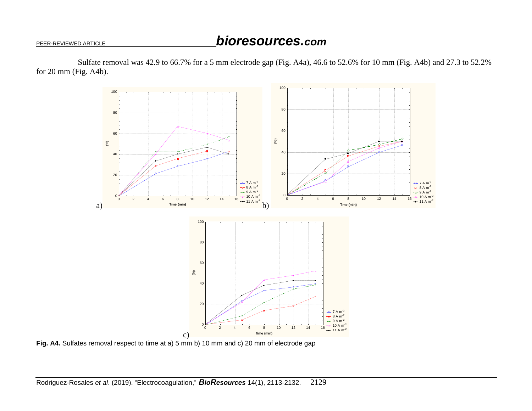Sulfate removal was 42.9 to 66.7% for a 5 mm electrode gap (Fig. A4a), 46.6 to 52.6% for 10 mm (Fig. A4b) and 27.3 to 52.2% for 20 mm (Fig. A4b).



**Fig. A4.** Sulfates removal respect to time at a) 5 mm b) 10 mm and c) 20 mm of electrode gap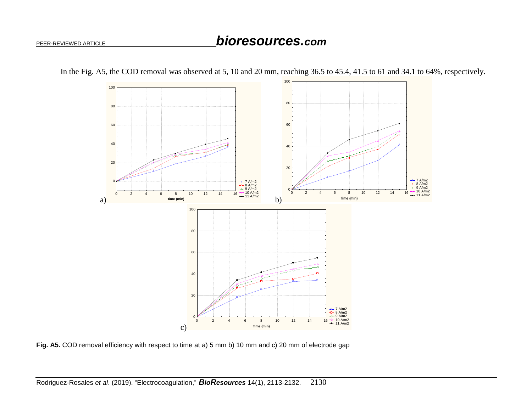

In the Fig. A5, the COD removal was observed at 5, 10 and 20 mm, reaching 36.5 to 45.4, 41.5 to 61 and 34.1 to 64%, respectively.

**Fig. A5.** COD removal efficiency with respect to time at a) 5 mm b) 10 mm and c) 20 mm of electrode gap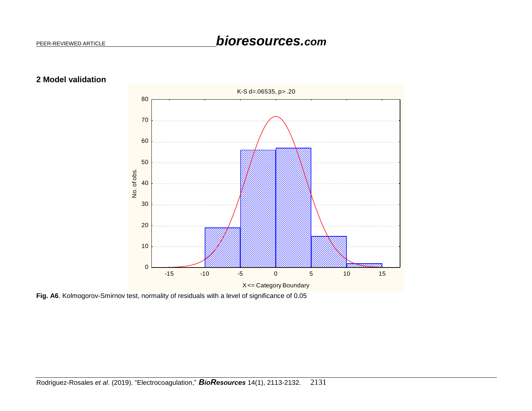



**Fig. A6**. Kolmogorov-Smirnov test, normality of residuals with a level of significance of 0.05